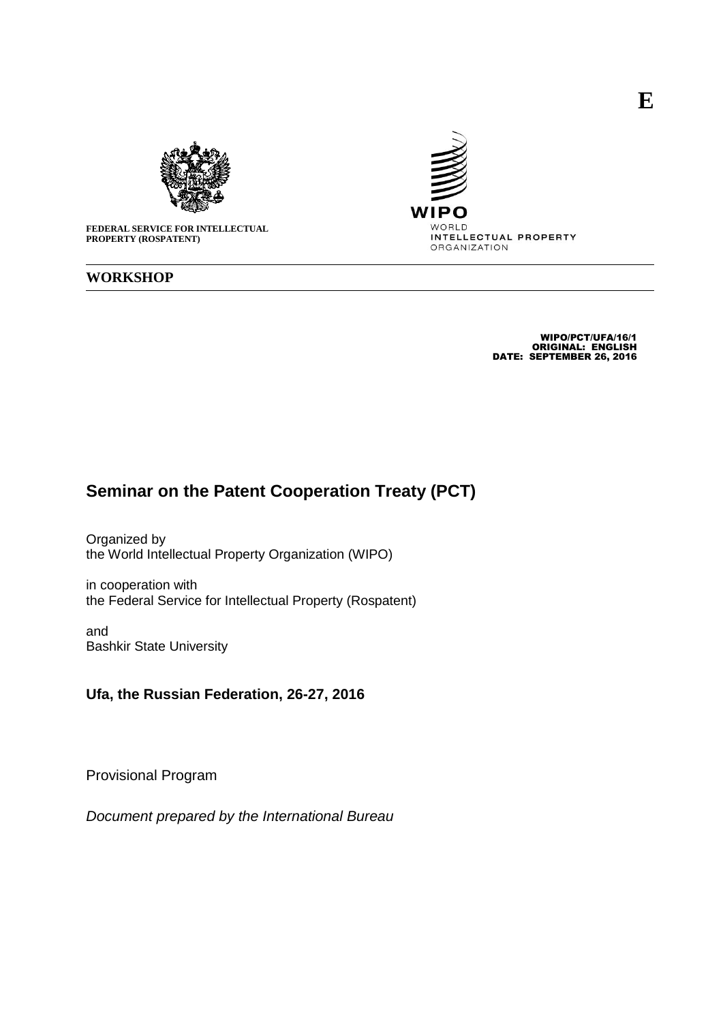



**FEDERAL SERVICE FOR INTELLECTUAL PROPERTY (ROSPATENT)**

#### **WORKSHOP**

WIPO/PCT/UFA/16/1 ORIGINAL: ENGLISH DATE: SEPTEMBER 26, 2016

## **Seminar on the Patent Cooperation Treaty (PCT)**

Organized by the World Intellectual Property Organization (WIPO)

in cooperation with the Federal Service for Intellectual Property (Rospatent)

and Bashkir State University

### **Ufa, the Russian Federation, 26-27, 2016**

Provisional Program

*Document prepared by the International Bureau*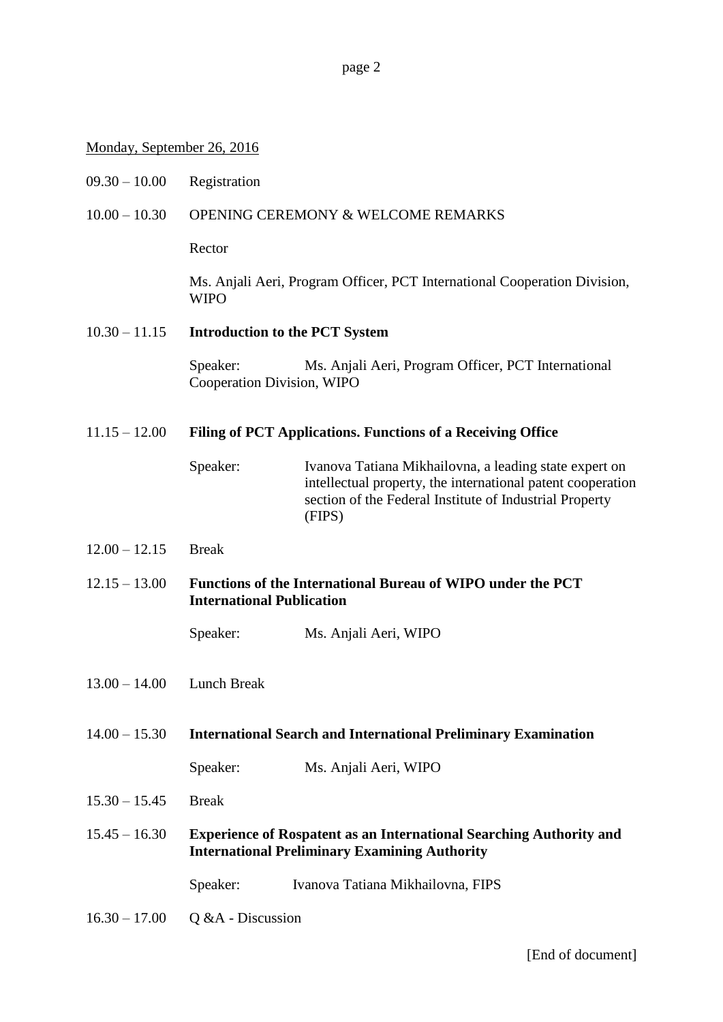page 2

#### Monday, September 26, 2016

09.30 – 10.00 Registration

#### 10.00 – 10.30 OPENING CEREMONY & WELCOME REMARKS

Rector

Ms. Anjali Aeri, Program Officer, PCT International Cooperation Division, WIPO

#### 10.30 – 11.15 **Introduction to the PCT System**

Speaker: Ms. Anjali Aeri, Program Officer, PCT International Cooperation Division, WIPO

#### 11.15 – 12.00 **Filing of PCT Applications. Functions of a Receiving Office**

Speaker: Ivanova Tatiana Mikhailovna, a leading state expert on intellectual property, the international patent cooperation section of the Federal Institute of Industrial Property (FIPS)

- $12.00 12.15$  Break
- 12.15 13.00 **Functions of the International Bureau of WIPO under the PCT International Publication**

Speaker: Ms. Anjali Aeri, WIPO

- 13.00 14.00 Lunch Break
- 14.00 15.30 **International Search and International Preliminary Examination**

Speaker: Ms. Anjali Aeri, WIPO

- 15.30 15.45 Break
- 15.45 16.30 **Experience of Rospatent as an International Searching Authority and International Preliminary Examining Authority**

Speaker: Ivanova Tatiana Mikhailovna, FIPS

16.30 – 17.00 Q &A - Discussion